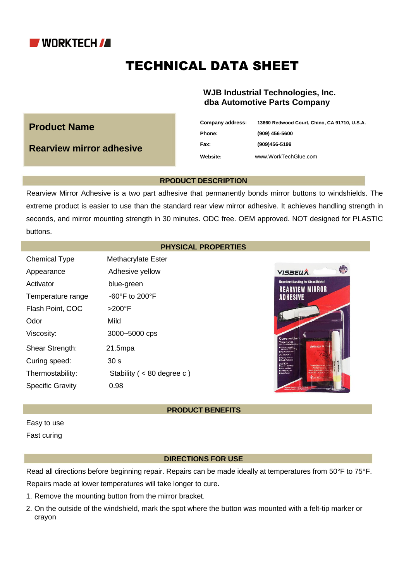

**Product Name**

**Rearview mirror adhesive**

# TECHNICAL DATA SHEET

## **WJB Industrial Technologies, Inc. dba Automotive Parts Company**

| Company address: | 13660 Redwood Court, Chino, CA 91710, U.S.A. |
|------------------|----------------------------------------------|
| Phone:           | $(909)$ 456-5600                             |
| Fax:             | (909)456-5199                                |
| <b>Website:</b>  | www.WorkTechGlue.com                         |

#### **RPODUCT DESCRIPTION**

Rearview Mirror Adhesive is a two part adhesive that permanently bonds mirror buttons to windshields. The extreme product is easier to use than the standard rear view mirror adhesive. It achieves handling strength in seconds, and mirror mounting strength in 30 minutes. ODC free. OEM approved. NOT designed for PLASTIC buttons.

## **PHYSICAL PROPERTIES**

Chemical Type Methacrylate Ester Appearance Adhesive yellow Activator blue-green Temperature range -60°F to 200°F Flash Point, COC >200°F Odor Mild Viscosity: 3000~5000 cps Shear Strength: 21.5mpa Curing speed: 30 s Thermostability: Stability ( < 80 degree c ) Specific Gravity 0.98



## **PRODUCT BENEFITS**

Easy to use Fast curing

#### **DIRECTIONS FOR USE**

Read all directions before beginning repair. Repairs can be made ideally at temperatures from 50°F to 75°F. Repairs made at lower temperatures will take longer to cure.

- 1. Remove the mounting button from the mirror bracket.
- 2. On the outside of the windshield, mark the spot where the button was mounted with a felt-tip marker or crayon